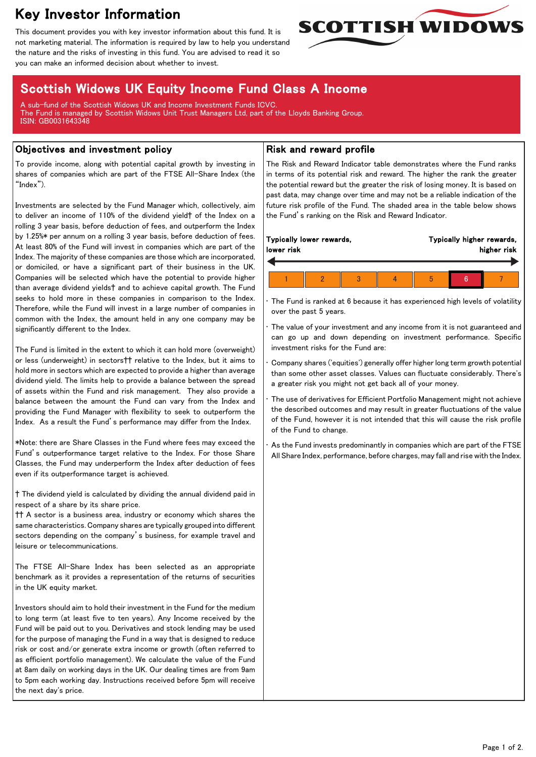# Key Investor Information

This document provides you with key investor information about this fund. It is not marketing material. The information is required by law to help you understand the nature and the risks of investing in this fund. You are advised to read it so you can make an informed decision about whether to invest.

## Scottish Widows UK Equity Income Fund Class A Income

A sub-fund of the Scottish Widows UK and Income Investment Funds ICVC. The Fund is managed by Scottish Widows Unit Trust Managers Ltd, part of the Lloyds Banking Group. ISIN: GB0031643348

### Objectives and investment policy

To provide income, along with potential capital growth by investing in shares of companies which are part of the FTSE All-Share Index (the "Index").

Investments are selected by the Fund Manager which, collectively, aim to deliver an income of 110% of the dividend yield† of the Index on a rolling 3 year basis, before deduction of fees, and outperform the Index by 1.25%\* per annum on a rolling 3 year basis, before deduction of fees. At least 80% of the Fund will invest in companies which are part of the Index. The majority of these companies are those which are incorporated, or domiciled, or have a significant part of their business in the UK. Companies will be selected which have the potential to provide higher than average dividend yields† and to achieve capital growth. The Fund seeks to hold more in these companies in comparison to the Index. Therefore, while the Fund will invest in a large number of companies in common with the Index, the amount held in any one company may be significantly different to the Index.

The Fund is limited in the extent to which it can hold more (overweight) or less (underweight) in sectors†† relative to the Index, but it aims to hold more in sectors which are expected to provide a higher than average dividend yield. The limits help to provide a balance between the spread of assets within the Fund and risk management. They also provide a balance between the amount the Fund can vary from the Index and providing the Fund Manager with flexibility to seek to outperform the Index. As a result the Fund's performance may differ from the Index.

\*Note: there are Share Classes in the Fund where fees may exceed the Fund's outperformance target relative to the Index. For those Share Classes, the Fund may underperform the Index after deduction of fees even if its outperformance target is achieved.

† The dividend yield is calculated by dividing the annual dividend paid in respect of a share by its share price.

†† A sector is a business area, industry or economy which shares the same characteristics. Company shares are typically grouped into different sectors depending on the company's business, for example travel and leisure or telecommunications.

The FTSE All-Share Index has been selected as an appropriate benchmark as it provides a representation of the returns of securities in the UK equity market.

Investors should aim to hold their investment in the Fund for the medium to long term (at least five to ten years). Any Income received by the Fund will be paid out to you. Derivatives and stock lending may be used for the purpose of managing the Fund in a way that is designed to reduce risk or cost and/or generate extra income or growth (often referred to as efficient portfolio management). We calculate the value of the Fund at 8am daily on working days in the UK. Our dealing times are from 9am to 5pm each working day. Instructions received before 5pm will receive the next day's price.

## Risk and reward profile

The Risk and Reward Indicator table demonstrates where the Fund ranks in terms of its potential risk and reward. The higher the rank the greater the potential reward but the greater the risk of losing money. It is based on past data, may change over time and may not be a reliable indication of the future risk profile of the Fund. The shaded area in the table below shows the Fund's ranking on the Risk and Reward Indicator.

**SCOTTISH WIDOWS** 

| Typically lower rewards,<br>Typically higher rewards,<br>lower risk |  |  |  |  | higher risk |  |  |
|---------------------------------------------------------------------|--|--|--|--|-------------|--|--|
|                                                                     |  |  |  |  | h           |  |  |

The Fund is ranked at 6 because it has experienced high levels of volatility over the past 5 years.

The value of your investment and any income from it is not guaranteed and can go up and down depending on investment performance. Specific investment risks for the Fund are:

• Company shares ('equities') generally offer higher long term growth potential than some other asset classes. Values can fluctuate considerably. There's a greater risk you might not get back all of your money.

The use of derivatives for Efficient Portfolio Management might not achieve the described outcomes and may result in greater fluctuations of the value of the Fund, however it is not intended that this will cause the risk profile of the Fund to change.

As the Fund invests predominantly in companies which are part of the FTSE All Share Index, performance, before charges, may fall and rise with the Index.